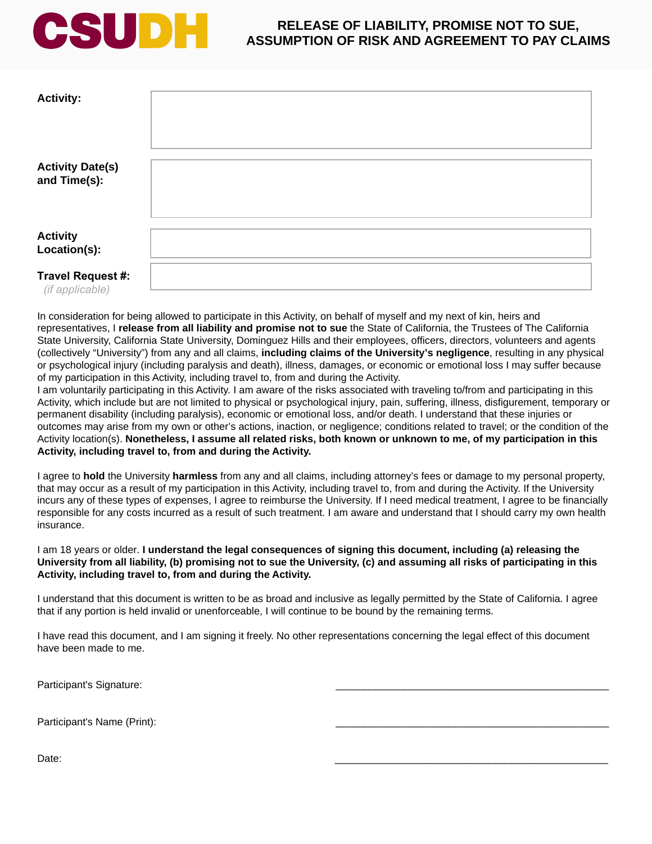## CSUDH

## **RELEASE OF LIABILITY, PROMISE NOT TO SUE, ASSUMPTION OF RISK AND AGREEMENT TO PAY CLAIMS**

| <b>Activity:</b>                        |  |
|-----------------------------------------|--|
| <b>Activity Date(s)</b><br>and Time(s): |  |
| <b>Activity</b><br>Location(s):         |  |
| Travel Request #:<br>(if applicable)    |  |

In consideration for being allowed to participate in this Activity, on behalf of myself and my next of kin, heirs and representatives, I **release from all liability and promise not to sue** the State of California, the Trustees of The California State University, California State University, Dominguez Hills and their employees, officers, directors, volunteers and agents (collectively "University") from any and all claims, **including claims of the University's negligence**, resulting in any physical or psychological injury (including paralysis and death), illness, damages, or economic or emotional loss I may suffer because of my participation in this Activity, including travel to, from and during the Activity.

I am voluntarily participating in this Activity. I am aware of the risks associated with traveling to/from and participating in this Activity, which include but are not limited to physical or psychological injury, pain, suffering, illness, disfigurement, temporary or permanent disability (including paralysis), economic or emotional loss, and/or death. I understand that these injuries or outcomes may arise from my own or other's actions, inaction, or negligence; conditions related to travel; or the condition of the Activity location(s). **Nonetheless, I assume all related risks, both known or unknown to me, of my participation in this Activity, including travel to, from and during the Activity.** 

I agree to **hold** the University **harmless** from any and all claims, including attorney's fees or damage to my personal property, that may occur as a result of my participation in this Activity, including travel to, from and during the Activity. If the University incurs any of these types of expenses, I agree to reimburse the University. If I need medical treatment, I agree to be financially responsible for any costs incurred as a result of such treatment. I am aware and understand that I should carry my own health insurance.

I am 18 years or older. **I understand the legal consequences of signing this document, including (a) releasing the University from all liability, (b) promising not to sue the University, (c) and assuming all risks of participating in this Activity, including travel to, from and during the Activity.** 

I understand that this document is written to be as broad and inclusive as legally permitted by the State of California. I agree that if any portion is held invalid or unenforceable, I will continue to be bound by the remaining terms.

I have read this document, and I am signing it freely. No other representations concerning the legal effect of this document have been made to me.

Participant's Signature:

Participant's Name (Print):

Date: \_\_\_\_\_\_\_\_\_\_\_\_\_\_\_\_\_\_\_\_\_\_\_\_\_\_\_\_\_\_\_\_\_\_\_\_\_\_\_\_\_\_\_\_\_\_\_\_